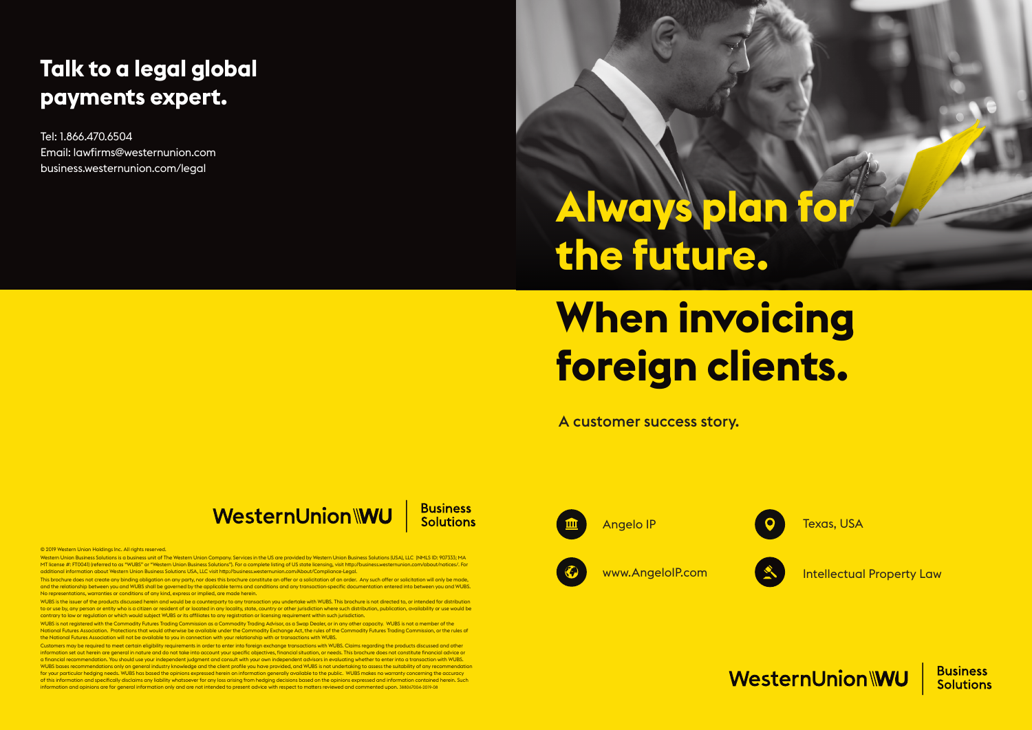© 2019 Western Union Holdings Inc. All rights reserved.

Western Union Business Solutions is a business unit of The Western Union Company. Services in the US are provided by Western Union Business Solutions (USA), LLC (NMLS ID: 907333; MA MT license #: FT0041) (referred to as "WUBS" or "Western Union Business Solutions"). For a complete listing of US state licensing, visit http://business.westernunion.com/about/notices/. For additional information about Western Union Business Solutions USA, LLC visit http://business.westernunion.com/About/Compliance-Legal.

This brochure does not create any binding obligation on any party, nor does this brochure constitute an offer or a solicitation of an order. Any such offer or solicitation will only be made and the relationship between you and WUBS shall be governed by the applicable terms and conditions and any transaction-specific documentation entered into between you and WUBS. No representations, warranties or conditions of any kind, express or implied, are made herein.

WUBS is the issuer of the products discussed herein and would be a counterparty to any transaction you undertake with WUBS. This brochure is not directed to, or intended for distribution to or use by, any person or entity who is a citizen or resident of or located in any locality, state, country or other jurisdiction where such distribution, publication, availability or use would be contrary to law or regulation or which would subject WUBS or its affiliates to any registration or licensing requirement within such jurisdiction.

Customers may be required to meet certain eligibility requirements in order to enter into foreign exchange transactions with WUBS. Claims regaraing the products discussed and other<br>information set out herein are general in a financial recommendation. You should use your independent judgment and consult with your own independent advisors in evaluating whether to enter into a transaction with WUBS. WUBS bases recommendations only on general industry knowledge and the client profile you have provided, and WUBS is not undertaking to assess the suitability of any recommendation for your particular hedging needs. WUBS has based the opinions expressed herein on information generally available to the public. WUBS makes no warranty concerning the accuracy of this information and specifically disclaims any liability whatsoever for any loss arising from hedging decisions based on the opinions expressed and information contained herein. Such information and opinions are for general information only and are not intended to present advice with respect to matters reviewed and commented upon. 388067004-2019-08



WUBS is not registered with the Commodity Futures Trading Commission as a Commodity Trading Advisor, as a Swap Dealer, or in any other capacity. WUBS is not a member of the National Futures Association. Protections that would otherwise be available under the Commodity Exchange Act, the rules of the Commodity Futures Trading Commission, or the rules of the National Futures Association will not be available to you in connection with your relationship with or transactions with WUBS.

A customer success story.



**Business Solutions** 

# **Talk to a legal global payments expert.**

Tel: 1.866.470.6504 Email: lawfirms@westernunion.com business.westernunion.com/legal

# **Always plan for the future.**

# **When invoicing foreign clients.**

#### Angelo IP

www.AngeloIP.com





Texas, USA

Intellectual Property Law

WesternUnion WU

**Business Solutions**